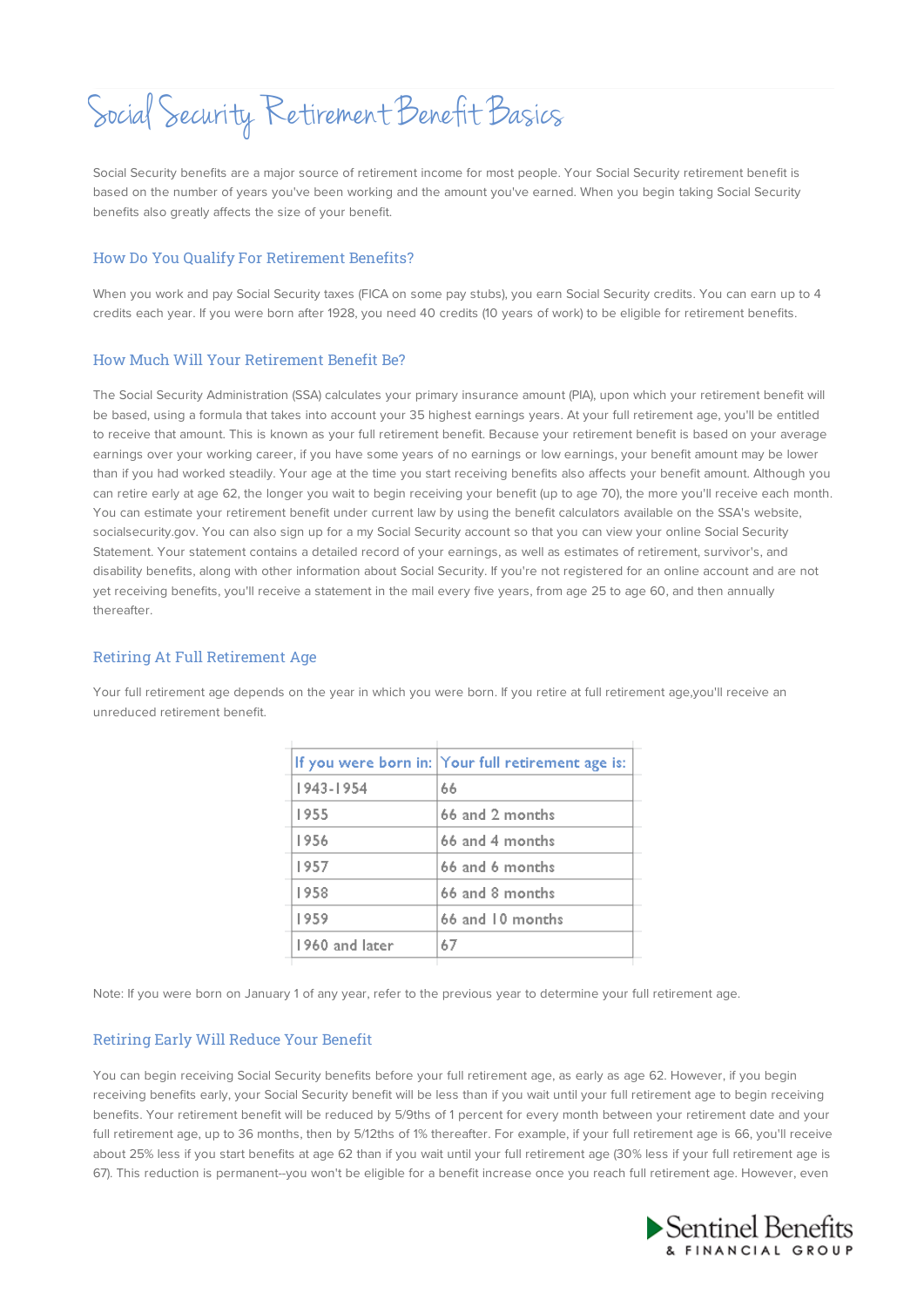Social Security Retirement Benefit Basics

Social Security benefits are a major source of retirement income for most people. Your Social Security retirement benefit is based on the number of years you've been working and the amount you've earned. When you begin taking Social Security benefits also greatly affects the size of your benefit.

#### How Do You Qualify For Retirement Benefits?

When you work and pay Social Security taxes (FICA on some pay stubs), you earn Social Security credits. You can earn up to 4 credits each year. If you were born after 1928, you need 40 credits (10 years of work) to be eligible for retirement benefits.

### How Much Will Your Retirement Benefit Be?

The Social Security Administration (SSA) calculates your primary insurance amount (PIA), upon which your retirement benefit will be based, using a formula that takes into account your 35 highest earnings years. At your full retirement age, you'll be entitled to receive that amount. This is known as your full retirement benefit. Because your retirement benefit is based on your average earnings over your working career, if you have some years of no earnings or low earnings, your benefit amount may be lower than if you had worked steadily. Your age at the time you start receiving benefits also affects your benefit amount. Although you can retire early at age 62, the longer you wait to begin receiving your benefit (up to age 70), the more you'll receive each month. You can estimate your retirement benefit under current law by using the benefit calculators available on the SSA's website, socialsecurity.gov. You can also sign up for a my Social Security account so that you can view your online Social Security Statement. Your statement contains a detailed record of your earnings, as well as estimates of retirement, survivor's, and disability benefits, along with other information about Social Security. If you're not registered for an online account and are not yet receiving benefits, you'll receive a statement in the mail every five years, from age 25 to age 60, and then annually thereafter.

## Retiring At Full Retirement Age

Your full retirement age depends on the year in which you were born. If you retire at full retirement age, you'll receive an unreduced retirement benefit.

|                | If you were born in: Your full retirement age is: |
|----------------|---------------------------------------------------|
| 943 - 1954     | 66                                                |
| 1955           | 66 and 2 months                                   |
| 1956           | 66 and 4 months                                   |
| 1957           | 66 and 6 months                                   |
| 1958           | 66 and 8 months                                   |
| 1959           | 66 and 10 months                                  |
| 1960 and later | 67                                                |
|                |                                                   |

Note: If you were born on January 1 of any year, refer to the previous year to determine your full retirement age.

#### Retiring Early Will Reduce Your Benefit

You can begin receiving Social Security benefits before your full retirement age, as early as age 62. However, if you begin receiving benefits early, your Social Security benefit will be less than if you wait until your full retirement age to begin receiving benefits. Your retirement benefit will be reduced by 5/9ths of 1 percent for every month between your retirement date and your full retirement age, up to 36 months, then by 5/12ths of 1% thereafter. For example, if your full retirement age is 66, you'll receive about 25% less if you start benefits at age 62 than if you wait until your full retirement age (30% less if your full retirement age is 67). This reduction is permanent--you won't be eligible for a benefit increase once you reach full retirement age. However, even

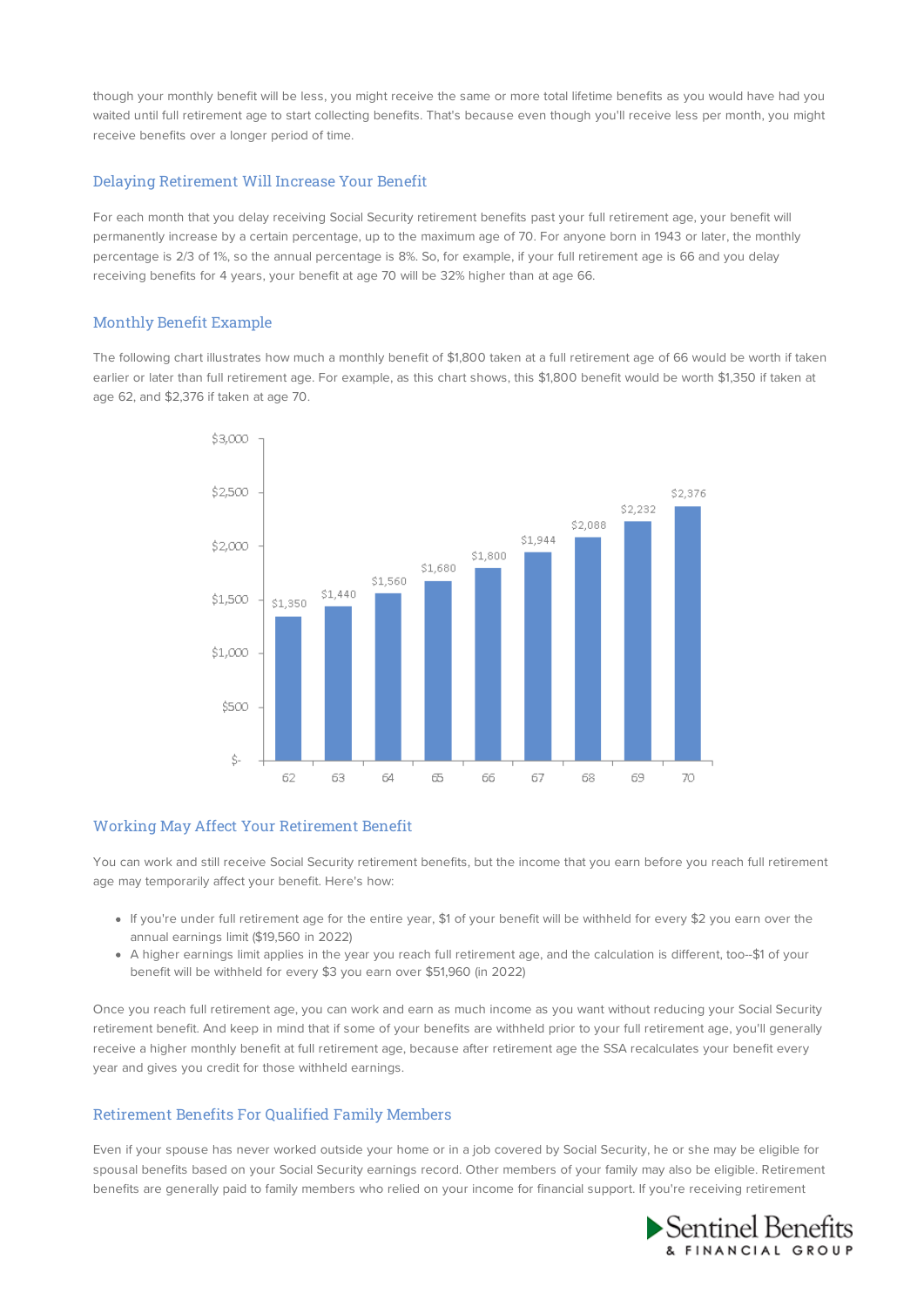though your monthly benefit will be less, you might receive the same or more total lifetime benefits as you would have had you waited until full retirement age to start collecting benefits. That's because even though you'll receive less per month, you might receive benefits over a longer period of time.

## Delaying Retirement Will Increase Your Benefit

For each month that you delay receiving Social Security retirement benefits past your full retirement age, your benefit will permanently increase by a certain percentage, up to the maximum age of 70. For anyone born in 1943 or later, the monthly percentage is 2/3 of 1%, so the annual percentage is 8%. So, for example, if your full retirement age is 66 and you delay receiving benefits for 4 years, your benefit at age 70 will be 32% higher than at age 66.

## Monthly Benefit Example

The following chart illustrates how much a monthly benefit of \$1,800 taken at a full retirement age of 66 would be worth if taken earlier or later than full retirement age. For example, as this chart shows, this \$1,800 benefit would be worth \$1,350 if taken at age 62, and \$2,376 if taken at age 70.



# Working May Affect Your Retirement Benefit

You can work and still receive Social Security retirement benefits, but the income that you earn before you reach full retirement age may temporarily affect your benefit. Here's how:

- If you're under full retirement age for the entire year, \$1 of your benefit will be withheld for every \$2 you earn over the annual earnings limit (\$19,560 in 2022)
- A higher earnings limit applies in the year you reach full retirement age, and the calculation is different, too--\$1 of your benefit will be withheld for every \$3 you earn over \$51,960 (in 2022)

Once you reach full retirement age, you can work and earn as much income as you want without reducing your Social Security retirement benefit. And keep in mind that if some of your benefits are withheld prior to your full retirement age, you'll generally receive a higher monthly benefit at full retirement age, because after retirement age the SSA recalculates your benefit every year and gives you credit for those withheld earnings.

# Retirement Benefits For Qualified Family Members

Even if your spouse has never worked outside your home or in a job covered by Social Security, he or she may be eligible for spousal benefits based on your Social Security earnings record. Other members of your family may also be eligible. Retirement benefits are generally paid to family members who relied on your income for financial support. If you're receiving retirement